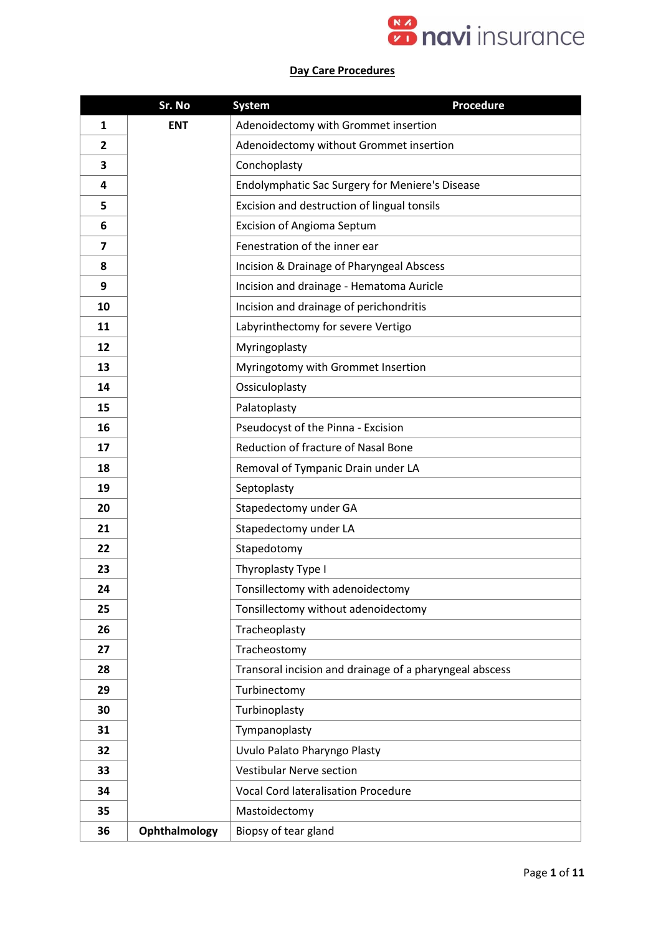

## **Day Care Procedures**

|                         | Sr. No        | <b>Procedure</b><br><b>System</b>                       |
|-------------------------|---------------|---------------------------------------------------------|
| $\mathbf{1}$            | <b>ENT</b>    | Adenoidectomy with Grommet insertion                    |
| $\overline{2}$          |               | Adenoidectomy without Grommet insertion                 |
| 3                       |               | Conchoplasty                                            |
| 4                       |               | Endolymphatic Sac Surgery for Meniere's Disease         |
| 5                       |               | Excision and destruction of lingual tonsils             |
| 6                       |               | <b>Excision of Angioma Septum</b>                       |
| $\overline{\mathbf{z}}$ |               | Fenestration of the inner ear                           |
| 8                       |               | Incision & Drainage of Pharyngeal Abscess               |
| 9                       |               | Incision and drainage - Hematoma Auricle                |
| 10                      |               | Incision and drainage of perichondritis                 |
| 11                      |               | Labyrinthectomy for severe Vertigo                      |
| 12                      |               | Myringoplasty                                           |
| 13                      |               | Myringotomy with Grommet Insertion                      |
| 14                      |               | Ossiculoplasty                                          |
| 15                      |               | Palatoplasty                                            |
| 16                      |               | Pseudocyst of the Pinna - Excision                      |
| 17                      |               | <b>Reduction of fracture of Nasal Bone</b>              |
| 18                      |               | Removal of Tympanic Drain under LA                      |
| 19                      |               | Septoplasty                                             |
| 20                      |               | Stapedectomy under GA                                   |
| 21                      |               | Stapedectomy under LA                                   |
| 22                      |               | Stapedotomy                                             |
| 23                      |               | Thyroplasty Type I                                      |
| 24                      |               | Tonsillectomy with adenoidectomy                        |
| 25                      |               | Tonsillectomy without adenoidectomy                     |
| 26                      |               | Tracheoplasty                                           |
| 27                      |               | Tracheostomy                                            |
| 28                      |               | Transoral incision and drainage of a pharyngeal abscess |
| 29                      |               | Turbinectomy                                            |
| 30                      |               | Turbinoplasty                                           |
| 31                      |               | Tympanoplasty                                           |
| 32                      |               | Uvulo Palato Pharyngo Plasty                            |
| 33                      |               | <b>Vestibular Nerve section</b>                         |
| 34                      |               | <b>Vocal Cord lateralisation Procedure</b>              |
| 35                      |               | Mastoidectomy                                           |
| 36                      | Ophthalmology | Biopsy of tear gland                                    |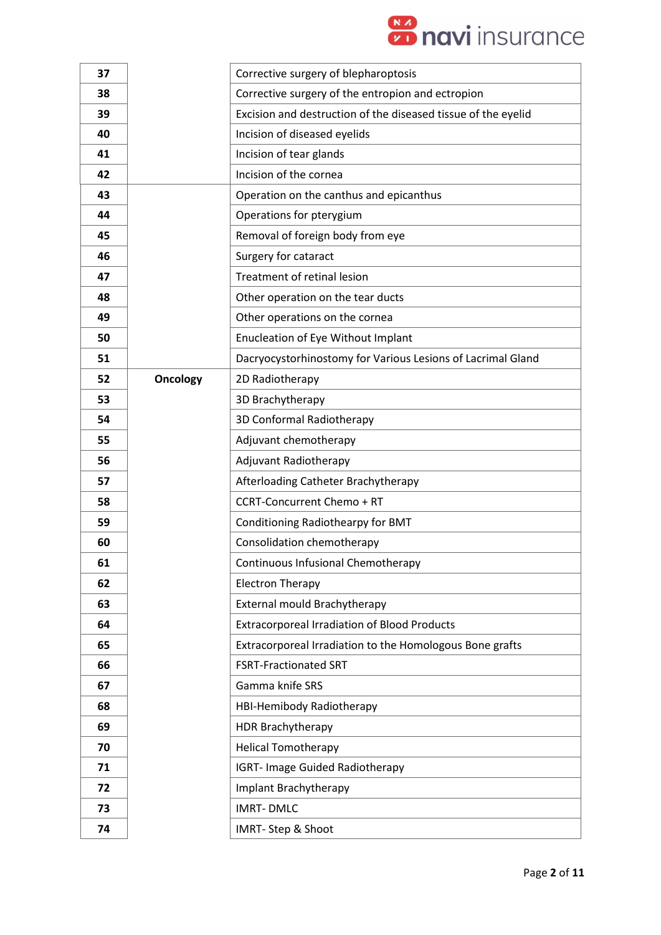

| 37 |                 | Corrective surgery of blepharoptosis                          |
|----|-----------------|---------------------------------------------------------------|
| 38 |                 | Corrective surgery of the entropion and ectropion             |
| 39 |                 | Excision and destruction of the diseased tissue of the eyelid |
| 40 |                 | Incision of diseased eyelids                                  |
| 41 |                 | Incision of tear glands                                       |
| 42 |                 | Incision of the cornea                                        |
| 43 |                 | Operation on the canthus and epicanthus                       |
| 44 |                 | Operations for pterygium                                      |
| 45 |                 | Removal of foreign body from eye                              |
| 46 |                 | Surgery for cataract                                          |
| 47 |                 | Treatment of retinal lesion                                   |
| 48 |                 | Other operation on the tear ducts                             |
| 49 |                 | Other operations on the cornea                                |
| 50 |                 | <b>Enucleation of Eye Without Implant</b>                     |
| 51 |                 | Dacryocystorhinostomy for Various Lesions of Lacrimal Gland   |
| 52 | <b>Oncology</b> | 2D Radiotherapy                                               |
| 53 |                 | 3D Brachytherapy                                              |
| 54 |                 | 3D Conformal Radiotherapy                                     |
| 55 |                 | Adjuvant chemotherapy                                         |
| 56 |                 | Adjuvant Radiotherapy                                         |
| 57 |                 | Afterloading Catheter Brachytherapy                           |
| 58 |                 | <b>CCRT-Concurrent Chemo + RT</b>                             |
| 59 |                 | Conditioning Radiothearpy for BMT                             |
| 60 |                 | Consolidation chemotherapy                                    |
| 61 |                 | Continuous Infusional Chemotherapy                            |
| 62 |                 | <b>Electron Therapy</b>                                       |
| 63 |                 | External mould Brachytherapy                                  |
| 64 |                 | <b>Extracorporeal Irradiation of Blood Products</b>           |
| 65 |                 | Extracorporeal Irradiation to the Homologous Bone grafts      |
| 66 |                 | <b>FSRT-Fractionated SRT</b>                                  |
| 67 |                 | Gamma knife SRS                                               |
| 68 |                 | HBI-Hemibody Radiotherapy                                     |
| 69 |                 | HDR Brachytherapy                                             |
| 70 |                 | <b>Helical Tomotherapy</b>                                    |
| 71 |                 | <b>IGRT- Image Guided Radiotherapy</b>                        |
| 72 |                 | Implant Brachytherapy                                         |
| 73 |                 | <b>IMRT-DMLC</b>                                              |
| 74 |                 | <b>IMRT-Step &amp; Shoot</b>                                  |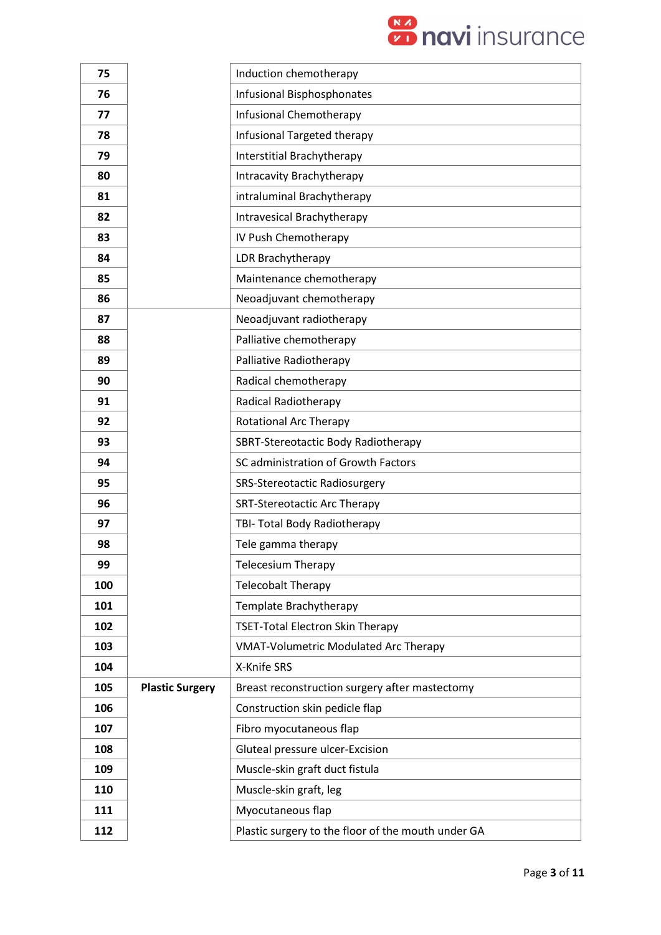

| 75  |                        | Induction chemotherapy                             |
|-----|------------------------|----------------------------------------------------|
| 76  |                        | <b>Infusional Bisphosphonates</b>                  |
| 77  |                        | <b>Infusional Chemotherapy</b>                     |
| 78  |                        | Infusional Targeted therapy                        |
| 79  |                        | Interstitial Brachytherapy                         |
| 80  |                        | Intracavity Brachytherapy                          |
| 81  |                        | intraluminal Brachytherapy                         |
| 82  |                        | Intravesical Brachytherapy                         |
| 83  |                        | IV Push Chemotherapy                               |
| 84  |                        | LDR Brachytherapy                                  |
| 85  |                        | Maintenance chemotherapy                           |
| 86  |                        | Neoadjuvant chemotherapy                           |
| 87  |                        | Neoadjuvant radiotherapy                           |
| 88  |                        | Palliative chemotherapy                            |
| 89  |                        | Palliative Radiotherapy                            |
| 90  |                        | Radical chemotherapy                               |
| 91  |                        | <b>Radical Radiotherapy</b>                        |
| 92  |                        | <b>Rotational Arc Therapy</b>                      |
| 93  |                        | SBRT-Stereotactic Body Radiotherapy                |
| 94  |                        | SC administration of Growth Factors                |
| 95  |                        | SRS-Stereotactic Radiosurgery                      |
| 96  |                        | <b>SRT-Stereotactic Arc Therapy</b>                |
| 97  |                        | TBI- Total Body Radiotherapy                       |
| 98  |                        | Tele gamma therapy                                 |
| 99  |                        | <b>Telecesium Therapy</b>                          |
| 100 |                        | <b>Telecobalt Therapy</b>                          |
| 101 |                        | Template Brachytherapy                             |
| 102 |                        | <b>TSET-Total Electron Skin Therapy</b>            |
| 103 |                        | <b>VMAT-Volumetric Modulated Arc Therapy</b>       |
| 104 |                        | X-Knife SRS                                        |
| 105 | <b>Plastic Surgery</b> | Breast reconstruction surgery after mastectomy     |
| 106 |                        | Construction skin pedicle flap                     |
| 107 |                        | Fibro myocutaneous flap                            |
| 108 |                        | Gluteal pressure ulcer-Excision                    |
| 109 |                        | Muscle-skin graft duct fistula                     |
| 110 |                        | Muscle-skin graft, leg                             |
| 111 |                        | Myocutaneous flap                                  |
| 112 |                        | Plastic surgery to the floor of the mouth under GA |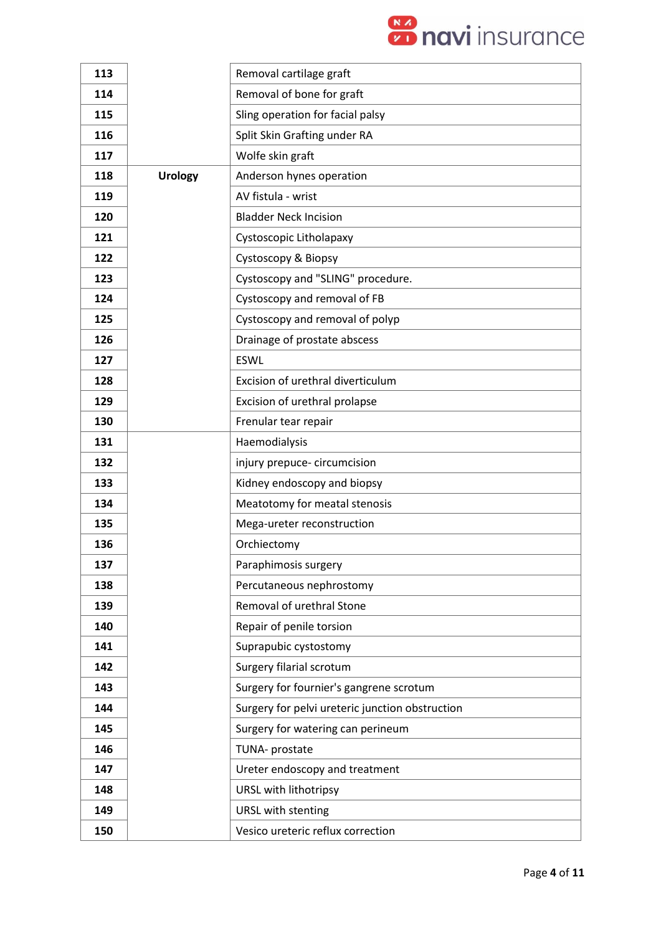

| 113 |                | Removal cartilage graft                         |
|-----|----------------|-------------------------------------------------|
| 114 |                | Removal of bone for graft                       |
| 115 |                | Sling operation for facial palsy                |
| 116 |                | Split Skin Grafting under RA                    |
| 117 |                | Wolfe skin graft                                |
| 118 | <b>Urology</b> | Anderson hynes operation                        |
| 119 |                | AV fistula - wrist                              |
| 120 |                | <b>Bladder Neck Incision</b>                    |
| 121 |                | Cystoscopic Litholapaxy                         |
| 122 |                | Cystoscopy & Biopsy                             |
| 123 |                | Cystoscopy and "SLING" procedure.               |
| 124 |                | Cystoscopy and removal of FB                    |
| 125 |                | Cystoscopy and removal of polyp                 |
| 126 |                | Drainage of prostate abscess                    |
| 127 |                | <b>ESWL</b>                                     |
| 128 |                | Excision of urethral diverticulum               |
| 129 |                | Excision of urethral prolapse                   |
| 130 |                | Frenular tear repair                            |
| 131 |                | Haemodialysis                                   |
| 132 |                | injury prepuce-circumcision                     |
| 133 |                | Kidney endoscopy and biopsy                     |
| 134 |                | Meatotomy for meatal stenosis                   |
| 135 |                | Mega-ureter reconstruction                      |
| 136 |                | Orchiectomy                                     |
| 137 |                | Paraphimosis surgery                            |
| 138 |                | Percutaneous nephrostomy                        |
| 139 |                | Removal of urethral Stone                       |
| 140 |                | Repair of penile torsion                        |
| 141 |                | Suprapubic cystostomy                           |
| 142 |                | Surgery filarial scrotum                        |
| 143 |                | Surgery for fournier's gangrene scrotum         |
| 144 |                | Surgery for pelvi ureteric junction obstruction |
| 145 |                | Surgery for watering can perineum               |
| 146 |                | TUNA- prostate                                  |
| 147 |                | Ureter endoscopy and treatment                  |
| 148 |                | URSL with lithotripsy                           |
| 149 |                | URSL with stenting                              |
| 150 |                | Vesico ureteric reflux correction               |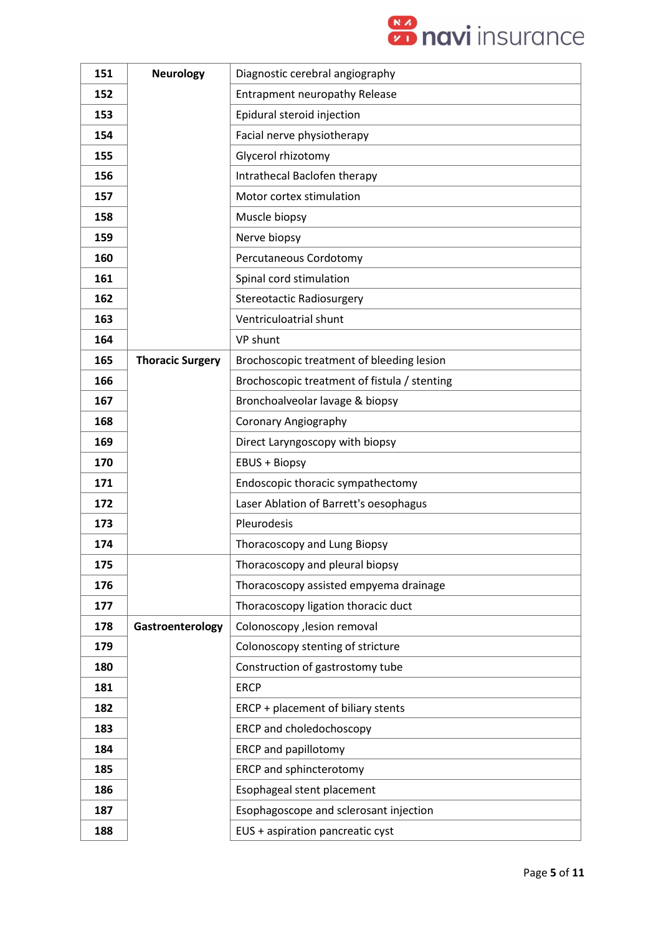

| 151 | <b>Neurology</b>        | Diagnostic cerebral angiography              |
|-----|-------------------------|----------------------------------------------|
| 152 |                         | Entrapment neuropathy Release                |
| 153 |                         | Epidural steroid injection                   |
| 154 |                         | Facial nerve physiotherapy                   |
| 155 |                         | Glycerol rhizotomy                           |
| 156 |                         | Intrathecal Baclofen therapy                 |
| 157 |                         | Motor cortex stimulation                     |
| 158 |                         | Muscle biopsy                                |
| 159 |                         | Nerve biopsy                                 |
| 160 |                         | Percutaneous Cordotomy                       |
| 161 |                         | Spinal cord stimulation                      |
| 162 |                         | <b>Stereotactic Radiosurgery</b>             |
| 163 |                         | Ventriculoatrial shunt                       |
| 164 |                         | VP shunt                                     |
| 165 | <b>Thoracic Surgery</b> | Brochoscopic treatment of bleeding lesion    |
| 166 |                         | Brochoscopic treatment of fistula / stenting |
| 167 |                         | Bronchoalveolar lavage & biopsy              |
| 168 |                         | <b>Coronary Angiography</b>                  |
| 169 |                         | Direct Laryngoscopy with biopsy              |
| 170 |                         | <b>EBUS + Biopsy</b>                         |
| 171 |                         | Endoscopic thoracic sympathectomy            |
| 172 |                         | Laser Ablation of Barrett's oesophagus       |
| 173 |                         | Pleurodesis                                  |
| 174 |                         | Thoracoscopy and Lung Biopsy                 |
| 175 |                         | Thoracoscopy and pleural biopsy              |
| 176 |                         | Thoracoscopy assisted empyema drainage       |
| 177 |                         | Thoracoscopy ligation thoracic duct          |
| 178 | Gastroenterology        | Colonoscopy , lesion removal                 |
| 179 |                         | Colonoscopy stenting of stricture            |
| 180 |                         | Construction of gastrostomy tube             |
| 181 |                         | <b>ERCP</b>                                  |
| 182 |                         | ERCP + placement of biliary stents           |
| 183 |                         | ERCP and choledochoscopy                     |
| 184 |                         | ERCP and papillotomy                         |
| 185 |                         | ERCP and sphincterotomy                      |
| 186 |                         | Esophageal stent placement                   |
| 187 |                         | Esophagoscope and sclerosant injection       |
| 188 |                         | EUS + aspiration pancreatic cyst             |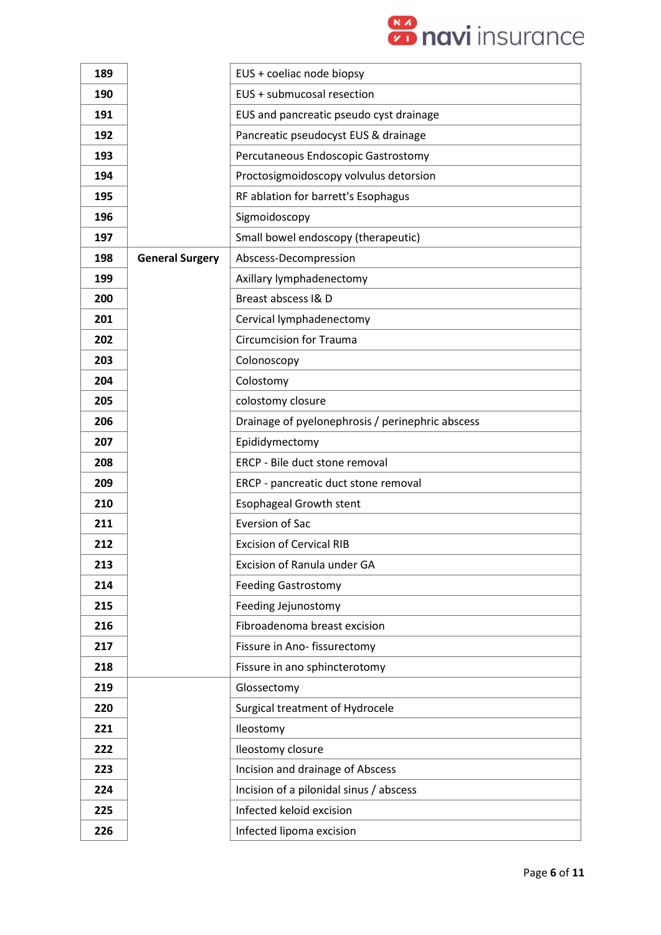

| 189 |                        | EUS + coeliac node biopsy                        |
|-----|------------------------|--------------------------------------------------|
| 190 |                        | EUS + submucosal resection                       |
| 191 |                        | EUS and pancreatic pseudo cyst drainage          |
| 192 |                        | Pancreatic pseudocyst EUS & drainage             |
| 193 |                        | Percutaneous Endoscopic Gastrostomy              |
| 194 |                        | Proctosigmoidoscopy volvulus detorsion           |
| 195 |                        | RF ablation for barrett's Esophagus              |
| 196 |                        | Sigmoidoscopy                                    |
| 197 |                        | Small bowel endoscopy (therapeutic)              |
| 198 | <b>General Surgery</b> | Abscess-Decompression                            |
| 199 |                        | Axillary lymphadenectomy                         |
| 200 |                        | Breast abscess I& D                              |
| 201 |                        | Cervical lymphadenectomy                         |
| 202 |                        | <b>Circumcision for Trauma</b>                   |
| 203 |                        | Colonoscopy                                      |
| 204 |                        | Colostomy                                        |
| 205 |                        | colostomy closure                                |
| 206 |                        | Drainage of pyelonephrosis / perinephric abscess |
| 207 |                        | Epididymectomy                                   |
| 208 |                        | ERCP - Bile duct stone removal                   |
| 209 |                        | ERCP - pancreatic duct stone removal             |
| 210 |                        | <b>Esophageal Growth stent</b>                   |
| 211 |                        | <b>Eversion of Sac</b>                           |
| 212 |                        | <b>Excision of Cervical RIB</b>                  |
| 213 |                        | Excision of Ranula under GA                      |
| 214 |                        | <b>Feeding Gastrostomy</b>                       |
| 215 |                        | Feeding Jejunostomy                              |
| 216 |                        | Fibroadenoma breast excision                     |
| 217 |                        | Fissure in Ano-fissurectomy                      |
| 218 |                        | Fissure in ano sphincterotomy                    |
| 219 |                        | Glossectomy                                      |
| 220 |                        | Surgical treatment of Hydrocele                  |
| 221 |                        | Ileostomy                                        |
| 222 |                        | Ileostomy closure                                |
| 223 |                        | Incision and drainage of Abscess                 |
| 224 |                        | Incision of a pilonidal sinus / abscess          |
| 225 |                        | Infected keloid excision                         |
| 226 |                        | Infected lipoma excision                         |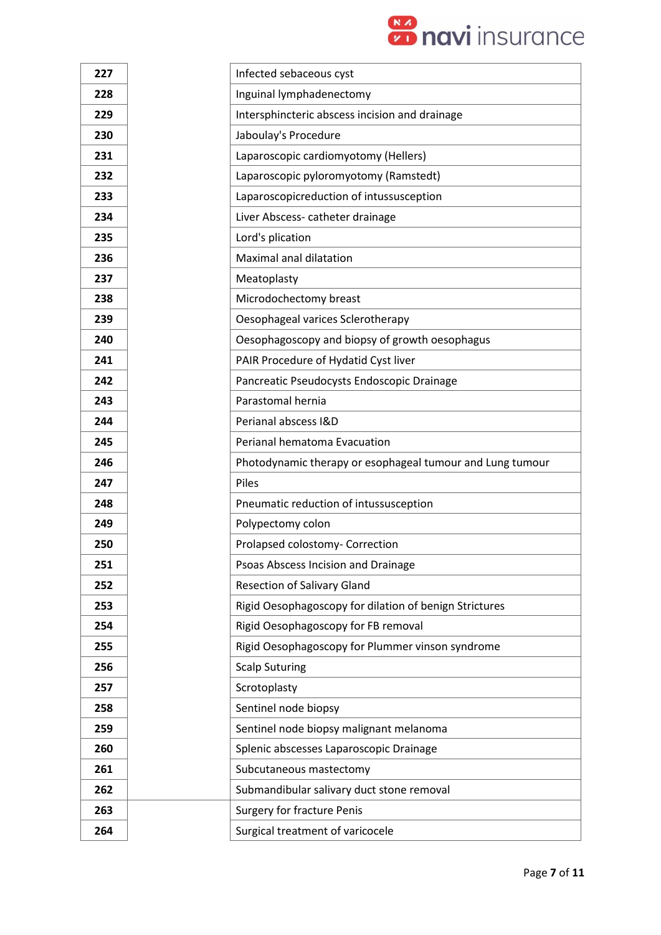

| 227 | Infected sebaceous cyst                                   |
|-----|-----------------------------------------------------------|
| 228 | Inguinal lymphadenectomy                                  |
| 229 | Intersphincteric abscess incision and drainage            |
| 230 | Jaboulay's Procedure                                      |
| 231 | Laparoscopic cardiomyotomy (Hellers)                      |
| 232 | Laparoscopic pyloromyotomy (Ramstedt)                     |
| 233 | Laparoscopicreduction of intussusception                  |
| 234 | Liver Abscess- catheter drainage                          |
| 235 | Lord's plication                                          |
| 236 | Maximal anal dilatation                                   |
| 237 | Meatoplasty                                               |
| 238 | Microdochectomy breast                                    |
| 239 | Oesophageal varices Sclerotherapy                         |
| 240 | Oesophagoscopy and biopsy of growth oesophagus            |
| 241 | PAIR Procedure of Hydatid Cyst liver                      |
| 242 | Pancreatic Pseudocysts Endoscopic Drainage                |
| 243 | Parastomal hernia                                         |
| 244 | Perianal abscess I&D                                      |
| 245 | Perianal hematoma Evacuation                              |
| 246 | Photodynamic therapy or esophageal tumour and Lung tumour |
| 247 | Piles                                                     |
| 248 | Pneumatic reduction of intussusception                    |
| 249 | Polypectomy colon                                         |
| 250 | Prolapsed colostomy- Correction                           |
| 251 | Psoas Abscess Incision and Drainage                       |
| 252 | <b>Resection of Salivary Gland</b>                        |
| 253 | Rigid Oesophagoscopy for dilation of benign Strictures    |
| 254 | Rigid Oesophagoscopy for FB removal                       |
| 255 | Rigid Oesophagoscopy for Plummer vinson syndrome          |
| 256 | <b>Scalp Suturing</b>                                     |
| 257 | Scrotoplasty                                              |
| 258 | Sentinel node biopsy                                      |
| 259 | Sentinel node biopsy malignant melanoma                   |
| 260 | Splenic abscesses Laparoscopic Drainage                   |
| 261 | Subcutaneous mastectomy                                   |
| 262 | Submandibular salivary duct stone removal                 |
| 263 | <b>Surgery for fracture Penis</b>                         |
| 264 | Surgical treatment of varicocele                          |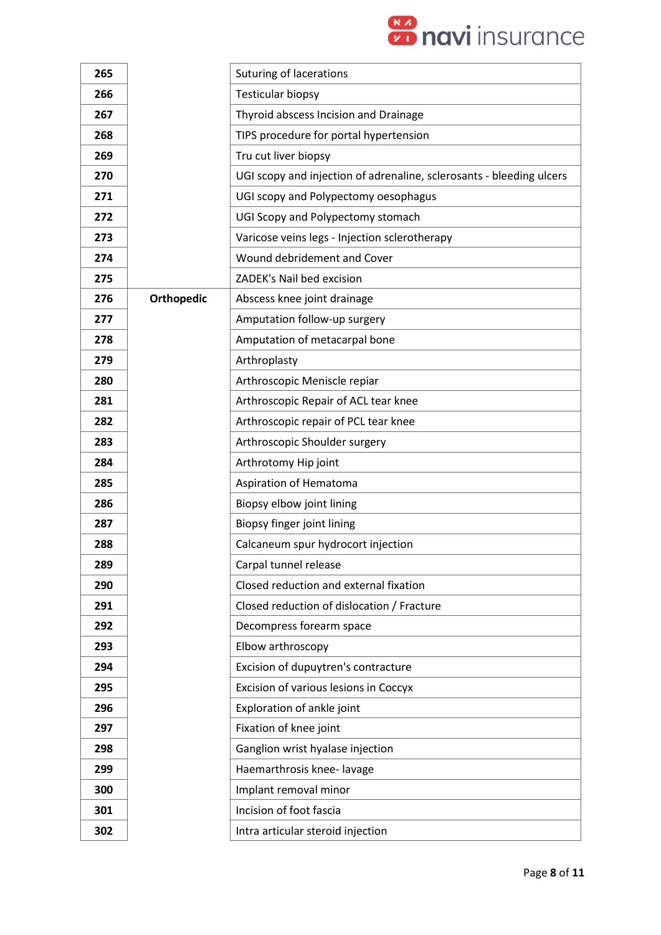

| 265 |                   | Suturing of lacerations                                              |
|-----|-------------------|----------------------------------------------------------------------|
| 266 |                   | <b>Testicular biopsy</b>                                             |
| 267 |                   | Thyroid abscess Incision and Drainage                                |
| 268 |                   | TIPS procedure for portal hypertension                               |
| 269 |                   | Tru cut liver biopsy                                                 |
| 270 |                   | UGI scopy and injection of adrenaline, sclerosants - bleeding ulcers |
| 271 |                   | UGI scopy and Polypectomy oesophagus                                 |
| 272 |                   | UGI Scopy and Polypectomy stomach                                    |
| 273 |                   | Varicose veins legs - Injection sclerotherapy                        |
| 274 |                   | Wound debridement and Cover                                          |
| 275 |                   | ZADEK's Nail bed excision                                            |
| 276 | <b>Orthopedic</b> | Abscess knee joint drainage                                          |
| 277 |                   | Amputation follow-up surgery                                         |
| 278 |                   | Amputation of metacarpal bone                                        |
| 279 |                   | Arthroplasty                                                         |
| 280 |                   | Arthroscopic Meniscle repiar                                         |
| 281 |                   | Arthroscopic Repair of ACL tear knee                                 |
| 282 |                   | Arthroscopic repair of PCL tear knee                                 |
| 283 |                   | Arthroscopic Shoulder surgery                                        |
| 284 |                   | Arthrotomy Hip joint                                                 |
| 285 |                   | Aspiration of Hematoma                                               |
| 286 |                   | Biopsy elbow joint lining                                            |
| 287 |                   | Biopsy finger joint lining                                           |
| 288 |                   | Calcaneum spur hydrocort injection                                   |
| 289 |                   | Carpal tunnel release                                                |
| 290 |                   | Closed reduction and external fixation                               |
| 291 |                   | Closed reduction of dislocation / Fracture                           |
| 292 |                   | Decompress forearm space                                             |
| 293 |                   | Elbow arthroscopy                                                    |
| 294 |                   | Excision of dupuytren's contracture                                  |
| 295 |                   | Excision of various lesions in Coccyx                                |
| 296 |                   | Exploration of ankle joint                                           |
| 297 |                   | Fixation of knee joint                                               |
| 298 |                   | Ganglion wrist hyalase injection                                     |
| 299 |                   | Haemarthrosis knee-lavage                                            |
| 300 |                   | Implant removal minor                                                |
| 301 |                   | Incision of foot fascia                                              |
| 302 |                   | Intra articular steroid injection                                    |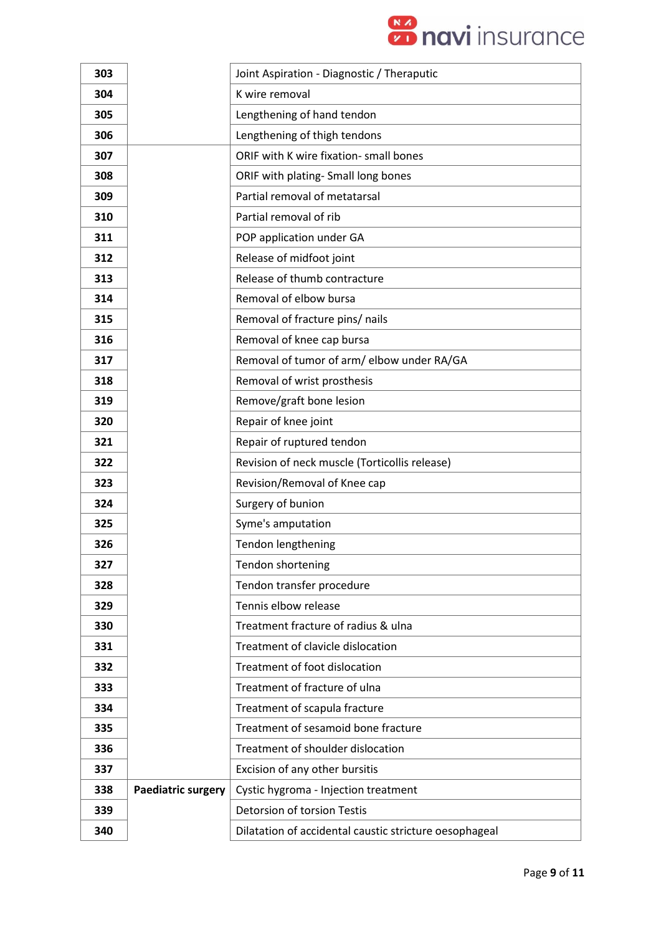

| 303 |                           | Joint Aspiration - Diagnostic / Theraputic             |
|-----|---------------------------|--------------------------------------------------------|
| 304 |                           | K wire removal                                         |
| 305 |                           | Lengthening of hand tendon                             |
| 306 |                           | Lengthening of thigh tendons                           |
| 307 |                           | ORIF with K wire fixation- small bones                 |
| 308 |                           | ORIF with plating- Small long bones                    |
| 309 |                           | Partial removal of metatarsal                          |
| 310 |                           | Partial removal of rib                                 |
| 311 |                           | POP application under GA                               |
| 312 |                           | Release of midfoot joint                               |
| 313 |                           | Release of thumb contracture                           |
| 314 |                           | Removal of elbow bursa                                 |
| 315 |                           | Removal of fracture pins/ nails                        |
| 316 |                           | Removal of knee cap bursa                              |
| 317 |                           | Removal of tumor of arm/ elbow under RA/GA             |
| 318 |                           | Removal of wrist prosthesis                            |
| 319 |                           | Remove/graft bone lesion                               |
| 320 |                           | Repair of knee joint                                   |
| 321 |                           | Repair of ruptured tendon                              |
| 322 |                           | Revision of neck muscle (Torticollis release)          |
| 323 |                           | Revision/Removal of Knee cap                           |
| 324 |                           | Surgery of bunion                                      |
| 325 |                           | Syme's amputation                                      |
| 326 |                           | Tendon lengthening                                     |
| 327 |                           | Tendon shortening                                      |
| 328 |                           | Tendon transfer procedure                              |
| 329 |                           | Tennis elbow release                                   |
| 330 |                           | Treatment fracture of radius & ulna                    |
| 331 |                           | Treatment of clavicle dislocation                      |
| 332 |                           | Treatment of foot dislocation                          |
| 333 |                           | Treatment of fracture of ulna                          |
| 334 |                           | Treatment of scapula fracture                          |
| 335 |                           | Treatment of sesamoid bone fracture                    |
| 336 |                           | Treatment of shoulder dislocation                      |
| 337 |                           | Excision of any other bursitis                         |
| 338 | <b>Paediatric surgery</b> | Cystic hygroma - Injection treatment                   |
| 339 |                           | <b>Detorsion of torsion Testis</b>                     |
| 340 |                           | Dilatation of accidental caustic stricture oesophageal |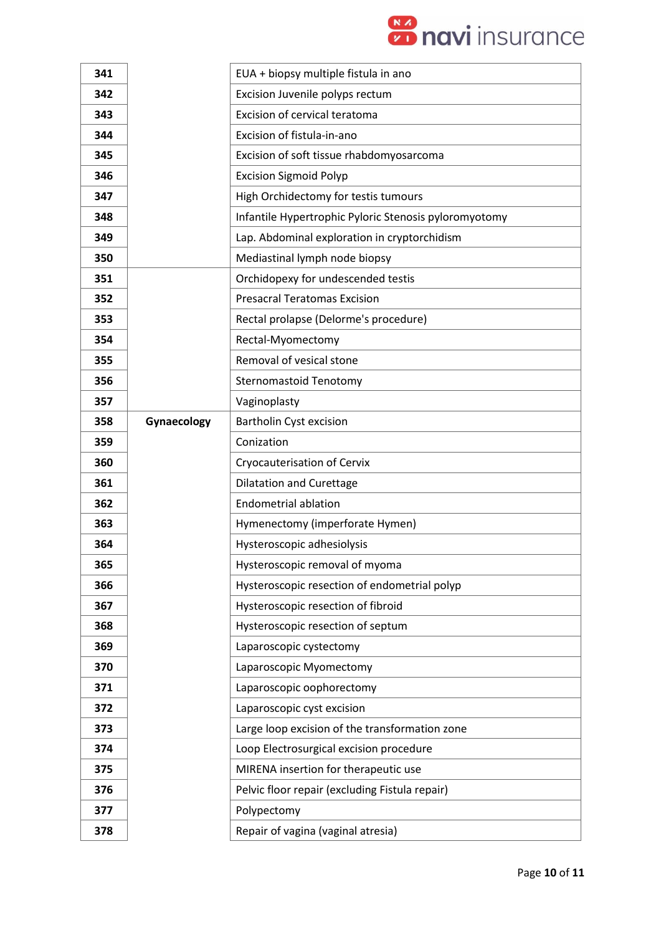

| 341 |             | EUA + biopsy multiple fistula in ano                  |
|-----|-------------|-------------------------------------------------------|
| 342 |             | Excision Juvenile polyps rectum                       |
| 343 |             | Excision of cervical teratoma                         |
| 344 |             | Excision of fistula-in-ano                            |
| 345 |             | Excision of soft tissue rhabdomyosarcoma              |
| 346 |             | <b>Excision Sigmoid Polyp</b>                         |
| 347 |             | High Orchidectomy for testis tumours                  |
| 348 |             | Infantile Hypertrophic Pyloric Stenosis pyloromyotomy |
| 349 |             | Lap. Abdominal exploration in cryptorchidism          |
| 350 |             | Mediastinal lymph node biopsy                         |
| 351 |             | Orchidopexy for undescended testis                    |
| 352 |             | <b>Presacral Teratomas Excision</b>                   |
| 353 |             | Rectal prolapse (Delorme's procedure)                 |
| 354 |             | Rectal-Myomectomy                                     |
| 355 |             | Removal of vesical stone                              |
| 356 |             | <b>Sternomastoid Tenotomy</b>                         |
| 357 |             | Vaginoplasty                                          |
| 358 | Gynaecology | <b>Bartholin Cyst excision</b>                        |
| 359 |             | Conization                                            |
| 360 |             | Cryocauterisation of Cervix                           |
| 361 |             | <b>Dilatation and Curettage</b>                       |
| 362 |             | <b>Endometrial ablation</b>                           |
| 363 |             | Hymenectomy (imperforate Hymen)                       |
| 364 |             | Hysteroscopic adhesiolysis                            |
| 365 |             | Hysteroscopic removal of myoma                        |
| 366 |             | Hysteroscopic resection of endometrial polyp          |
| 367 |             | Hysteroscopic resection of fibroid                    |
| 368 |             | Hysteroscopic resection of septum                     |
| 369 |             | Laparoscopic cystectomy                               |
| 370 |             | Laparoscopic Myomectomy                               |
| 371 |             | Laparoscopic oophorectomy                             |
| 372 |             | Laparoscopic cyst excision                            |
| 373 |             | Large loop excision of the transformation zone        |
| 374 |             | Loop Electrosurgical excision procedure               |
| 375 |             | MIRENA insertion for therapeutic use                  |
| 376 |             | Pelvic floor repair (excluding Fistula repair)        |
| 377 |             | Polypectomy                                           |
| 378 |             | Repair of vagina (vaginal atresia)                    |